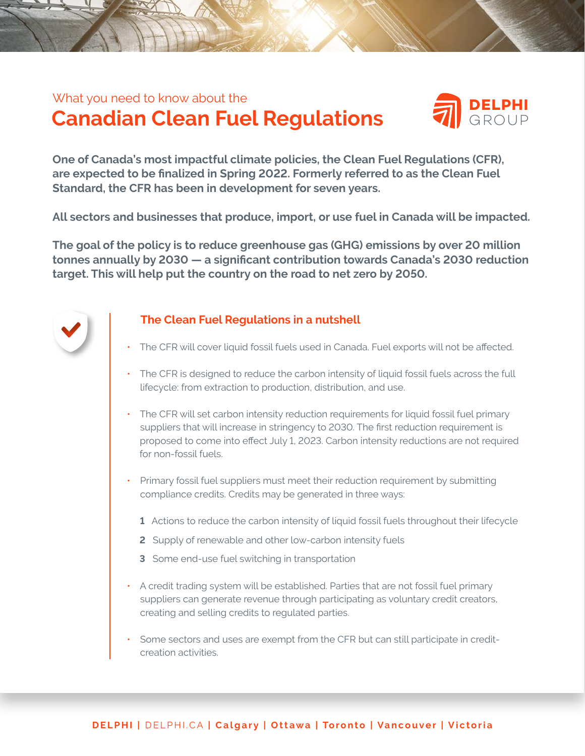### **Canadian Clean Fuel Regulations**  What you need to know about the



**One of Canada's most impactful climate policies, the Clean Fuel Regulations (CFR), are expected to be finalized in Spring 2022. Formerly referred to as the Clean Fuel Standard, the CFR has been in development for seven years.** 

**All sectors and businesses that produce, import, or use fuel in Canada will be impacted.**

**The goal of the policy is to reduce greenhouse gas (GHG) emissions by over 20 million tonnes annually by 2030 — a significant contribution towards Canada's 2030 reduction target. This will help put the country on the road to net zero by 2050.** 



#### **The Clean Fuel Regulations in a nutshell**

- The CFR will cover liquid fossil fuels used in Canada. Fuel exports will not be affected.
- The CFR is designed to reduce the carbon intensity of liquid fossil fuels across the full lifecycle: from extraction to production, distribution, and use.
- The CFR will set carbon intensity reduction requirements for liquid fossil fuel primary suppliers that will increase in stringency to 2030. The first reduction requirement is proposed to come into effect July 1, 2023. Carbon intensity reductions are not required for non-fossil fuels.
- Primary fossil fuel suppliers must meet their reduction requirement by submitting compliance credits. Credits may be generated in three ways:
	- **1** Actions to reduce the carbon intensity of liquid fossil fuels throughout their lifecycle
	- **2** Supply of renewable and other low-carbon intensity fuels
	- **3** Some end-use fuel switching in transportation
- A credit trading system will be established. Parties that are not fossil fuel primary suppliers can generate revenue through participating as voluntary credit creators, creating and selling credits to regulated parties.
- Some sectors and uses are exempt from the CFR but can still participate in credit creation activities.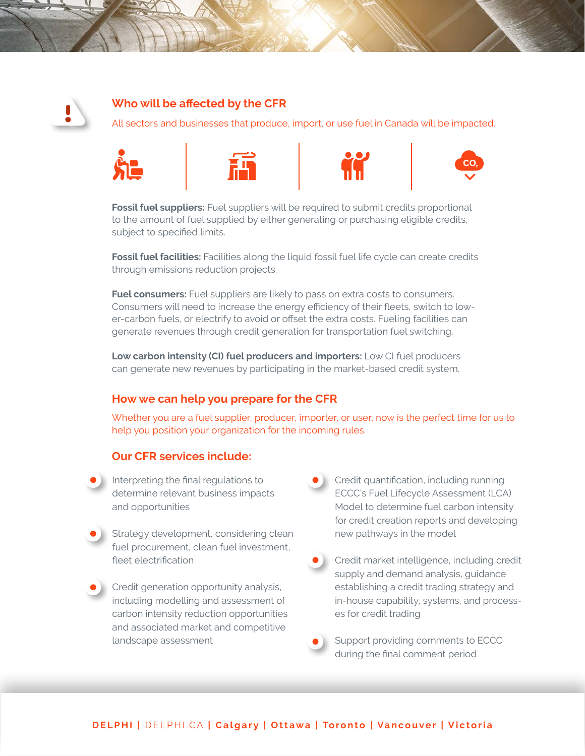

#### **Who will be affected by the CFR**

All sectors and businesses that produce, import, or use fuel in Canada will be impacted.



**Fossil fuel suppliers:** Fuel suppliers will be required to submit credits proportional to the amount of fuel supplied by either generating or purchasing eligible credits, subject to specified limits.

**Fossil fuel facilities:** Facilities along the liquid fossil fuel life cycle can create credits through emissions reduction projects.

**Fuel consumers:** Fuel suppliers are likely to pass on extra costs to consumers. Consumers will need to increase the energy efficiency of their fleets, switch to lower-carbon fuels, or electrify to avoid or offset the extra costs. Fueling facilities can generate revenues through credit generation for transportation fuel switching.

**Low carbon intensity (CI) fuel producers and importers:** Low CI fuel producers can generate new revenues by participating in the market-based credit system.

#### **How we can help you prepare for the CFR**

Whether you are a fuel supplier, producer, importer, or user, now is the perfect time for us to help you position your organization for the incoming rules.

#### **Our CFR services include:**

- Interpreting the final regulations to determine relevant business impacts and opportunities
- Strategy development, considering clean fuel procurement, clean fuel investment, fleet electrification
- Credit generation opportunity analysis, including modelling and assessment of carbon intensity reduction opportunities and associated market and competitive landscape assessment
- Credit quantification, including running ECCC's Fuel Lifecycle Assessment (LCA) Model to determine fuel carbon intensity for credit creation reports and developing new pathways in the model
- Credit market intelligence, including credit supply and demand analysis, guidance establishing a credit trading strategy and in-house capability, systems, and processes for credit trading

Support providing comments to ECCC during the final comment period

#### **DELPHI |** [DELPHI.CA](http://DELPHI.CA) **| Calgary | Ottawa | Toronto | Vancouver | Victoria**